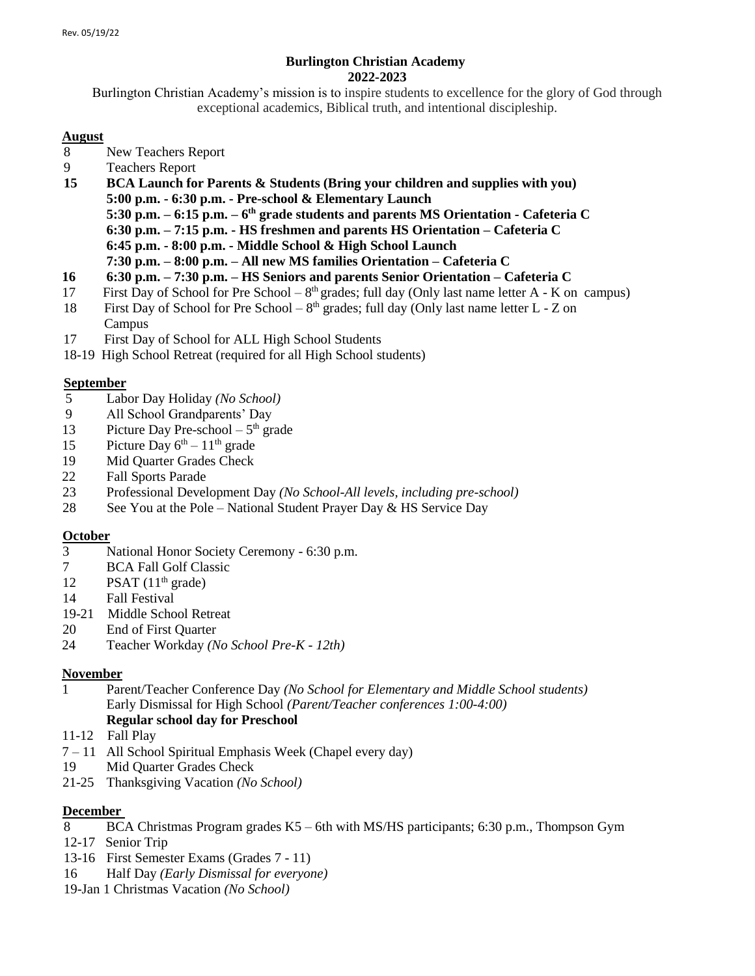## **Burlington Christian Academy 2022-2023**

Burlington Christian Academy's mission is to inspire students to excellence for the glory of God through exceptional academics, Biblical truth, and intentional discipleship.

### **August**

- 8 New Teachers Report
- 9 Teachers Report
- **15 BCA Launch for Parents & Students (Bring your children and supplies with you) 5:00 p.m. - 6:30 p.m. - Pre-school & Elementary Launch 5:30 p.m. – 6:15 p.m. – 6 th grade students and parents MS Orientation - Cafeteria C 6:30 p.m. – 7:15 p.m. - HS freshmen and parents HS Orientation – Cafeteria C 6:45 p.m. - 8:00 p.m. - Middle School & High School Launch 7:30 p.m. – 8:00 p.m. – All new MS families Orientation – Cafeteria C**
- **16 6:30 p.m. – 7:30 p.m. – HS Seniors and parents Senior Orientation – Cafeteria C**
- 17 First Day of School for Pre School  $8<sup>th</sup>$  grades; full day (Only last name letter A K on campus)
- 18 First Day of School for Pre School  $8<sup>th</sup>$  grades; full day (Only last name letter L Z on Campus
- 17 First Day of School for ALL High School Students
- 18-19 High School Retreat (required for all High School students)

## **September**

- 5 Labor Day Holiday *(No School)*
- 9 All School Grandparents' Day
- 13 Picture Day Pre-school  $-5<sup>th</sup>$  grade
- 15 Picture Day  $6^{th} 11^{th}$  grade
- 19 Mid Quarter Grades Check
- 22 Fall Sports Parade
- 23 Professional Development Day *(No School-All levels, including pre-school)*
- 28 See You at the Pole National Student Prayer Day & HS Service Day

## **October**

- 3 National Honor Society Ceremony 6:30 p.m.
- 7 BCA Fall Golf Classic
- 12 PSAT  $(11<sup>th</sup> \text{ grade})$
- 14 Fall Festival
- 19-21 Middle School Retreat
- 20 End of First Quarter
- 24 Teacher Workday *(No School Pre-K - 12th)*

## **November**

- 1 Parent/Teacher Conference Day *(No School for Elementary and Middle School students)* Early Dismissal for High School *(Parent/Teacher conferences 1:00-4:00)* **Regular school day for Preschool**
- 11-12 Fall Play
- 7 11 All School Spiritual Emphasis Week (Chapel every day)
- 19 Mid Quarter Grades Check
- 21-25 Thanksgiving Vacation *(No School)*

## **December**

- 8 BCA Christmas Program grades K5 6th with MS/HS participants; 6:30 p.m., Thompson Gym
- 12-17 Senior Trip
- 13-16 First Semester Exams (Grades 7 11)
- 16 Half Day *(Early Dismissal for everyone)*
- 19-Jan 1 Christmas Vacation *(No School)*